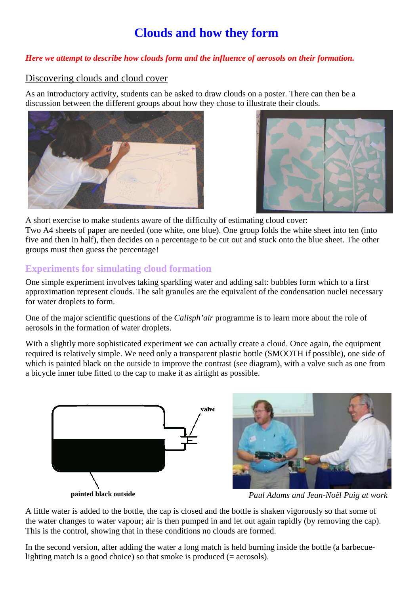# **Clouds and how they form**

#### *Here we attempt to describe how clouds form and the influence of aerosols on their formation.*

#### Discovering clouds and cloud cover

As an introductory activity, students can be asked to draw clouds on a poster. There can then be a discussion between the different groups about how they chose to illustrate their clouds.





A short exercise to make students aware of the difficulty of estimating cloud cover: Two A4 sheets of paper are needed (one white, one blue). One group folds the white sheet into ten (into five and then in half), then decides on a percentage to be cut out and stuck onto the blue sheet. The other groups must then guess the percentage!

## **Experiments for simulating cloud formation**

One simple experiment involves taking sparkling water and adding salt: bubbles form which to a first approximation represent clouds. The salt granules are the equivalent of the condensation nuclei necessary for water droplets to form.

One of the major scientific questions of the *Calisph'air* programme is to learn more about the role of aerosols in the formation of water droplets.

With a slightly more sophisticated experiment we can actually create a cloud. Once again, the equipment required is relatively simple. We need only a transparent plastic bottle (SMOOTH if possible), one side of which is painted black on the outside to improve the contrast (see diagram), with a valve such as one from a bicycle inner tube fitted to the cap to make it as airtight as possible.



*Paul Adams and Jean-Noël Puig at work* 

A little water is added to the bottle, the cap is closed and the bottle is shaken vigorously so that some of the water changes to water vapour; air is then pumped in and let out again rapidly (by removing the cap). This is the control, showing that in these conditions no clouds are formed.

In the second version, after adding the water a long match is held burning inside the bottle (a barbecuelighting match is a good choice) so that smoke is produced  $(= aerosols)$ .